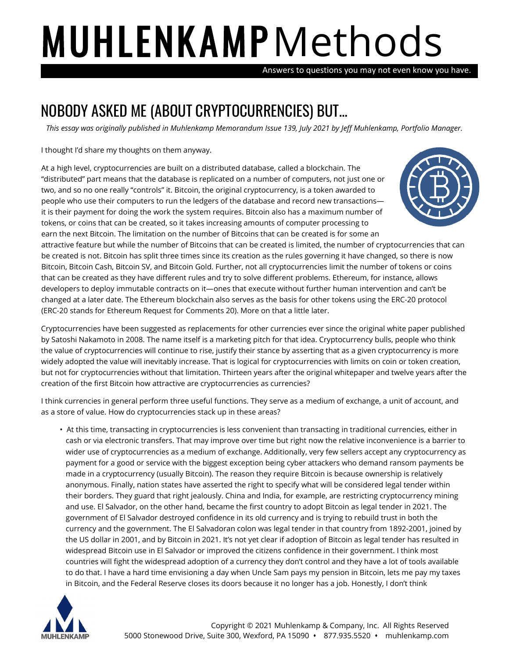## **MUHLENKAMP** Methods

Answers to questions you may not even know you have.

## NOBODY ASKED ME (ABOUT CRYPTOCURRENCIES) BUT…

*This essay was originally published in Muhlenkamp Memorandum Issue 139, July 2021 by Jeff Muhlenkamp, Portfolio Manager.*

I thought I'd share my thoughts on them anyway.

At a high level, cryptocurrencies are built on a distributed database, called a blockchain. The "distributed" part means that the database is replicated on a number of computers, not just one or two, and so no one really "controls" it. Bitcoin, the original cryptocurrency, is a token awarded to people who use their computers to run the ledgers of the database and record new transactions it is their payment for doing the work the system requires. Bitcoin also has a maximum number of tokens, or coins that can be created, so it takes increasing amounts of computer processing to



earn the next Bitcoin. The limitation on the number of Bitcoins that can be created is for some an attractive feature but while the number of Bitcoins that can be created is limited, the number of cryptocurrencies that can be created is not. Bitcoin has split three times since its creation as the rules governing it have changed, so there is now Bitcoin, Bitcoin Cash, Bitcoin SV, and Bitcoin Gold. Further, not all cryptocurrencies limit the number of tokens or coins that can be created as they have different rules and try to solve different problems. Ethereum, for instance, allows developers to deploy immutable contracts on it—ones that execute without further human intervention and can't be changed at a later date. The Ethereum blockchain also serves as the basis for other tokens using the ERC-20 protocol (ERC-20 stands for Ethereum Request for Comments 20). More on that a little later.

Cryptocurrencies have been suggested as replacements for other currencies ever since the original white paper published by Satoshi Nakamoto in 2008. The name itself is a marketing pitch for that idea. Cryptocurrency bulls, people who think the value of cryptocurrencies will continue to rise, justify their stance by asserting that as a given cryptocurrency is more widely adopted the value will inevitably increase. That is logical for cryptocurrencies with limits on coin or token creation, but not for cryptocurrencies without that limitation. Thirteen years after the original whitepaper and twelve years after the creation of the first Bitcoin how attractive are cryptocurrencies as currencies?

I think currencies in general perform three useful functions. They serve as a medium of exchange, a unit of account, and as a store of value. How do cryptocurrencies stack up in these areas?

• At this time, transacting in cryptocurrencies is less convenient than transacting in traditional currencies, either in cash or via electronic transfers. That may improve over time but right now the relative inconvenience is a barrier to wider use of cryptocurrencies as a medium of exchange. Additionally, very few sellers accept any cryptocurrency as payment for a good or service with the biggest exception being cyber attackers who demand ransom payments be made in a cryptocurrency (usually Bitcoin). The reason they require Bitcoin is because ownership is relatively anonymous. Finally, nation states have asserted the right to specify what will be considered legal tender within their borders. They guard that right jealously. China and India, for example, are restricting cryptocurrency mining and use. El Salvador, on the other hand, became the first country to adopt Bitcoin as legal tender in 2021. The government of El Salvador destroyed confidence in its old currency and is trying to rebuild trust in both the currency and the government. The El Salvadoran colon was legal tender in that country from 1892-2001, joined by the US dollar in 2001, and by Bitcoin in 2021. It's not yet clear if adoption of Bitcoin as legal tender has resulted in widespread Bitcoin use in El Salvador or improved the citizens confidence in their government. I think most countries will fight the widespread adoption of a currency they don't control and they have a lot of tools available to do that. I have a hard time envisioning a day when Uncle Sam pays my pension in Bitcoin, lets me pay my taxes in Bitcoin, and the Federal Reserve closes its doors because it no longer has a job. Honestly, I don't think

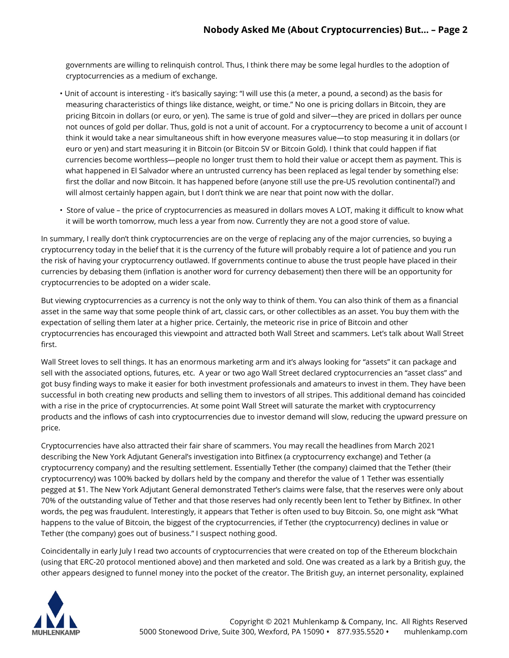governments are willing to relinquish control. Thus, I think there may be some legal hurdles to the adoption of cryptocurrencies as a medium of exchange.

- Unit of account is interesting it's basically saying: "I will use this (a meter, a pound, a second) as the basis for measuring characteristics of things like distance, weight, or time." No one is pricing dollars in Bitcoin, they are pricing Bitcoin in dollars (or euro, or yen). The same is true of gold and silver—they are priced in dollars per ounce not ounces of gold per dollar. Thus, gold is not a unit of account. For a cryptocurrency to become a unit of account I think it would take a near simultaneous shift in how everyone measures value—to stop measuring it in dollars (or euro or yen) and start measuring it in Bitcoin (or Bitcoin SV or Bitcoin Gold). I think that could happen if fiat currencies become worthless—people no longer trust them to hold their value or accept them as payment. This is what happened in El Salvador where an untrusted currency has been replaced as legal tender by something else: first the dollar and now Bitcoin. It has happened before (anyone still use the pre-US revolution continental?) and will almost certainly happen again, but I don't think we are near that point now with the dollar.
- Store of value the price of cryptocurrencies as measured in dollars moves A LOT, making it difficult to know what it will be worth tomorrow, much less a year from now. Currently they are not a good store of value.

In summary, I really don't think cryptocurrencies are on the verge of replacing any of the major currencies, so buying a cryptocurrency today in the belief that it is the currency of the future will probably require a lot of patience and you run the risk of having your cryptocurrency outlawed. If governments continue to abuse the trust people have placed in their currencies by debasing them (inflation is another word for currency debasement) then there will be an opportunity for cryptocurrencies to be adopted on a wider scale.

But viewing cryptocurrencies as a currency is not the only way to think of them. You can also think of them as a financial asset in the same way that some people think of art, classic cars, or other collectibles as an asset. You buy them with the expectation of selling them later at a higher price. Certainly, the meteoric rise in price of Bitcoin and other cryptocurrencies has encouraged this viewpoint and attracted both Wall Street and scammers. Let's talk about Wall Street first.

Wall Street loves to sell things. It has an enormous marketing arm and it's always looking for "assets" it can package and sell with the associated options, futures, etc. A year or two ago Wall Street declared cryptocurrencies an "asset class" and got busy finding ways to make it easier for both investment professionals and amateurs to invest in them. They have been successful in both creating new products and selling them to investors of all stripes. This additional demand has coincided with a rise in the price of cryptocurrencies. At some point Wall Street will saturate the market with cryptocurrency products and the inflows of cash into cryptocurrencies due to investor demand will slow, reducing the upward pressure on price.

Cryptocurrencies have also attracted their fair share of scammers. You may recall the headlines from March 2021 describing the New York Adjutant General's investigation into Bitfinex (a cryptocurrency exchange) and Tether (a cryptocurrency company) and the resulting settlement. Essentially Tether (the company) claimed that the Tether (their cryptocurrency) was 100% backed by dollars held by the company and therefor the value of 1 Tether was essentially pegged at \$1. The New York Adjutant General demonstrated Tether's claims were false, that the reserves were only about 70% of the outstanding value of Tether and that those reserves had only recently been lent to Tether by Bitfinex. In other words, the peg was fraudulent. Interestingly, it appears that Tether is often used to buy Bitcoin. So, one might ask "What happens to the value of Bitcoin, the biggest of the cryptocurrencies, if Tether (the cryptocurrency) declines in value or Tether (the company) goes out of business." I suspect nothing good.

Coincidentally in early July I read two accounts of cryptocurrencies that were created on top of the Ethereum blockchain (using that ERC-20 protocol mentioned above) and then marketed and sold. One was created as a lark by a British guy, the other appears designed to funnel money into the pocket of the creator. The British guy, an internet personality, explained